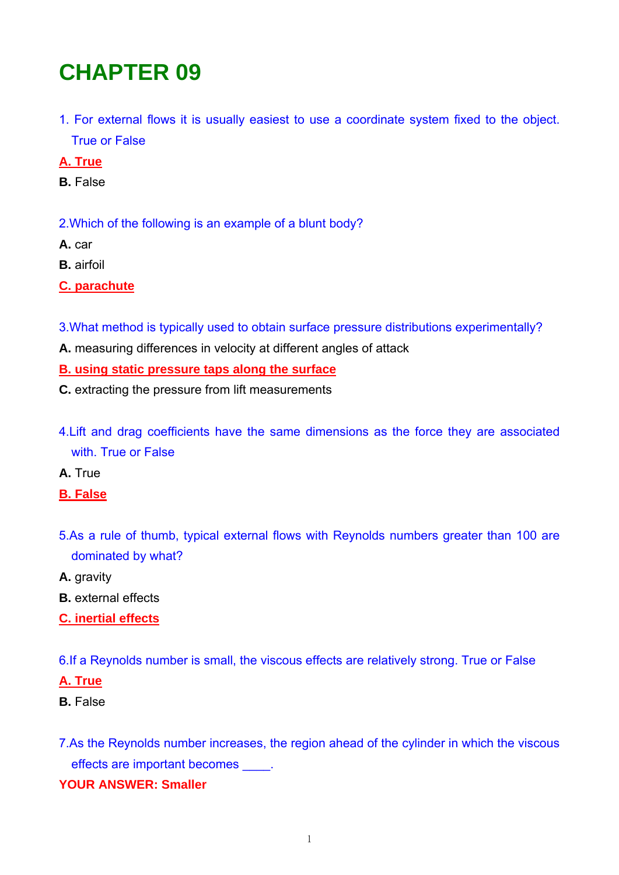# **CHAPTER 09**

1. For external flows it is usually easiest to use a coordinate system fixed to the object. True or False

## **A. True**

**B.** False

2.Which of the following is an example of a blunt body?

- **A.** car
- **B.** airfoil

**C. parachute**

- 3.What method is typically used to obtain surface pressure distributions experimentally?
- **A.** measuring differences in velocity at different angles of attack

#### **B. using static pressure taps along the surface**

- **C.** extracting the pressure from lift measurements
- 4.Lift and drag coefficients have the same dimensions as the force they are associated with. True or False
- **A.** True
- **B. False**
- 5.As a rule of thumb, typical external flows with Reynolds numbers greater than 100 are dominated by what?
- **A.** gravity
- **B.** external effects
- **C. inertial effects**

6.If a Reynolds number is small, the viscous effects are relatively strong. True or False

#### **A. True**

**B.** False

7.As the Reynolds number increases, the region ahead of the cylinder in which the viscous effects are important becomes \_\_\_\_.

#### **YOUR ANSWER: Smaller**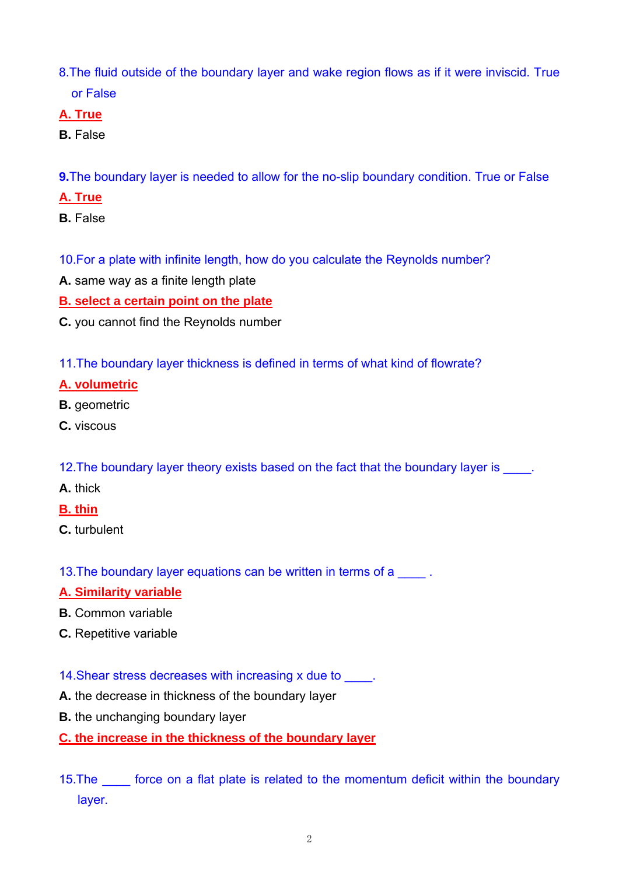- 8.The fluid outside of the boundary layer and wake region flows as if it were inviscid. True or False
- **A. True**
- **B.** False
- **9.**The boundary layer is needed to allow for the no-slip boundary condition. True or False
- **A. True**
- **B.** False
- 10.For a plate with infinite length, how do you calculate the Reynolds number?
- **A.** same way as a finite length plate
- **B. select a certain point on the plate**
- **C.** you cannot find the Reynolds number
- 11.The boundary layer thickness is defined in terms of what kind of flowrate?

## **A. volumetric**

- **B.** geometric
- **C.** viscous
- 12. The boundary layer theory exists based on the fact that the boundary layer is
- **A.** thick
- **B. thin**
- **C.** turbulent

13. The boundary layer equations can be written in terms of a

#### **A. Similarity variable**

- **B.** Common variable
- **C.** Repetitive variable
- 14. Shear stress decreases with increasing x due to  $\qquad \qquad$ .
- **A.** the decrease in thickness of the boundary layer
- **B.** the unchanging boundary layer

#### **C. the increase in the thickness of the boundary layer**

15. The force on a flat plate is related to the momentum deficit within the boundary layer.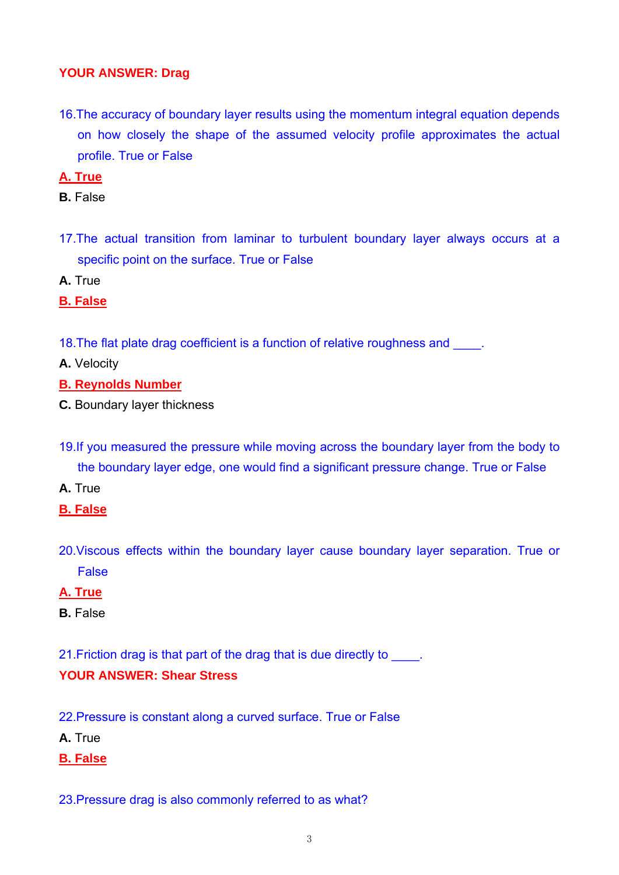#### **YOUR ANSWER: Drag**

- 16.The accuracy of boundary layer results using the momentum integral equation depends on how closely the shape of the assumed velocity profile approximates the actual profile. True or False
- **A. True**
- **B.** False
- 17.The actual transition from laminar to turbulent boundary layer always occurs at a specific point on the surface. True or False

**A.** True

**B. False**

18. The flat plate drag coefficient is a function of relative roughness and  $\qquad$ .

**A.** Velocity

- **B. Reynolds Number**
- **C.** Boundary layer thickness
- 19.If you measured the pressure while moving across the boundary layer from the body to the boundary layer edge, one would find a significant pressure change. True or False
- **A.** True
- **B. False**
- 20.Viscous effects within the boundary layer cause boundary layer separation. True or False

#### **A. True**

**B.** False

21.Friction drag is that part of the drag that is due directly to \_\_\_\_. **YOUR ANSWER: Shear Stress** 

- 22.Pressure is constant along a curved surface. True or False
- **A.** True
- **B. False**

23.Pressure drag is also commonly referred to as what?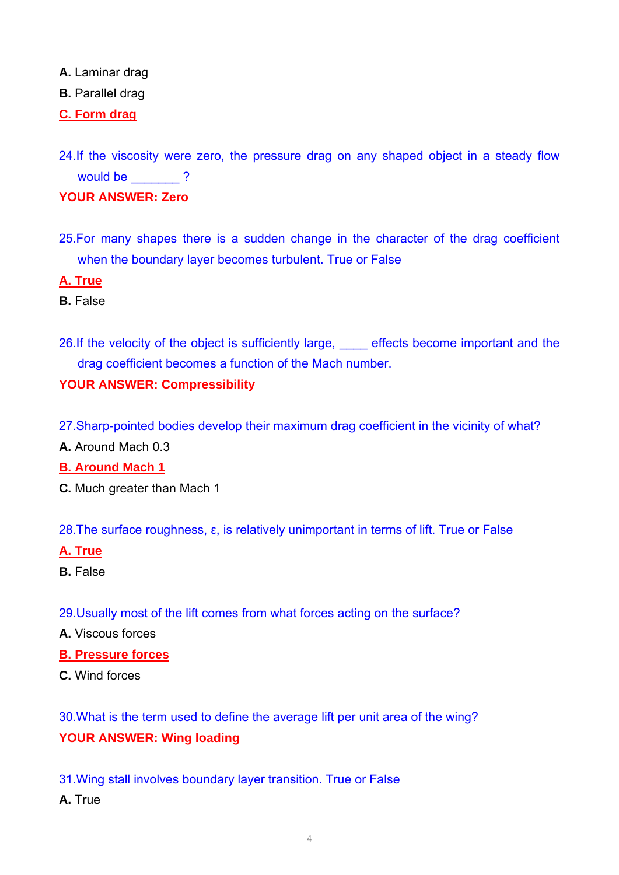**A.** Laminar drag

**B.** Parallel drag

**C. Form drag**

- 24.If the viscosity were zero, the pressure drag on any shaped object in a steady flow would be  $\qquad$  ? **YOUR ANSWER: Zero**
- 25.For many shapes there is a sudden change in the character of the drag coefficient when the boundary layer becomes turbulent. True or False

**A. True**

**B.** False

26.If the velocity of the object is sufficiently large, effects become important and the drag coefficient becomes a function of the Mach number.

# **YOUR ANSWER: Compressibility**

- 27.Sharp-pointed bodies develop their maximum drag coefficient in the vicinity of what?
- **A.** Around Mach 0.3

## **B. Around Mach 1**

- **C.** Much greater than Mach 1
- 28.The surface roughness, ε, is relatively unimportant in terms of lift. True or False

#### **A. True**

- **B.** False
- 29.Usually most of the lift comes from what forces acting on the surface?
- **A.** Viscous forces

#### **B. Pressure forces**

**C.** Wind forces

30.What is the term used to define the average lift per unit area of the wing? **YOUR ANSWER: Wing loading** 

31.Wing stall involves boundary layer transition. True or False

**A.** True